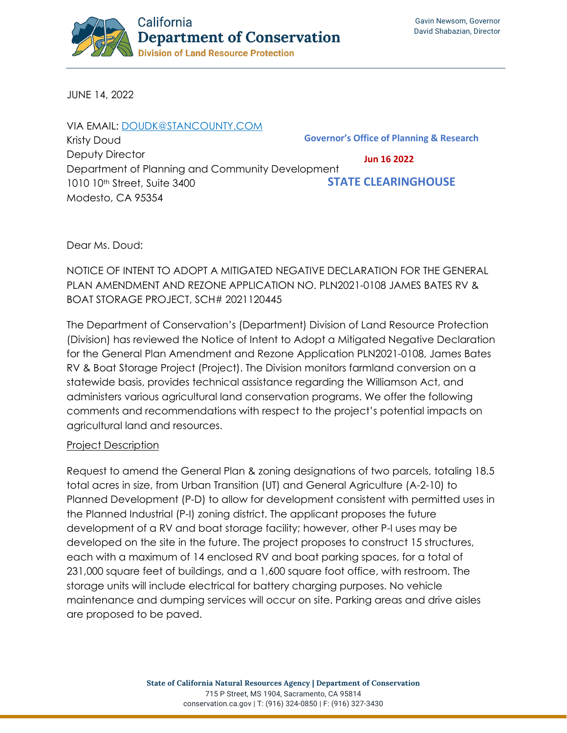

JUNE 14, 2022

| VIA EMAIL: DOUDK@STANCOUNTY.COM                  |                                                     |
|--------------------------------------------------|-----------------------------------------------------|
| Kristy Doud                                      | <b>Governor's Office of Planning &amp; Research</b> |
| Deputy Director                                  | <b>Jun 16 2022</b>                                  |
| Department of Planning and Community Development |                                                     |
| 1010 10 <sup>th</sup> Street, Suite 3400         | <b>STATE CLEARINGHOUSE</b>                          |
| Modesto, CA 95354                                |                                                     |

Dear Ms. Doud:

NOTICE OF INTENT TO ADOPT A MITIGATED NEGATIVE DECLARATION FOR THE GENERAL PLAN AMENDMENT AND REZONE APPLICATION NO. PLN2021-0108 JAMES BATES RV & BOAT STORAGE PROJECT, SCH# 2021120445

The Department of Conservation's (Department) Division of Land Resource Protection (Division) has reviewed the Notice of Intent to Adopt a Mitigated Negative Declaration for the General Plan Amendment and Rezone Application PLN2021-0108, James Bates RV & Boat Storage Project (Project). The Division monitors farmland conversion on a statewide basis, provides technical assistance regarding the Williamson Act, and administers various agricultural land conservation programs. We offer the following comments and recommendations with respect to the project's potential impacts on agricultural land and resources.

## Project Description

Request to amend the General Plan & zoning designations of two parcels, totaling 18.5 total acres in size, from Urban Transition (UT) and General Agriculture (A-2-10) to Planned Development (P-D) to allow for development consistent with permitted uses in the Planned Industrial (P-I) zoning district. The applicant proposes the future development of a RV and boat storage facility; however, other P-I uses may be developed on the site in the future. The project proposes to construct 15 structures, each with a maximum of 14 enclosed RV and boat parking spaces, for a total of 231,000 square feet of buildings, and a 1,600 square foot office, with restroom. The storage units will include electrical for battery charging purposes. No vehicle maintenance and dumping services will occur on site. Parking areas and drive aisles are proposed to be paved.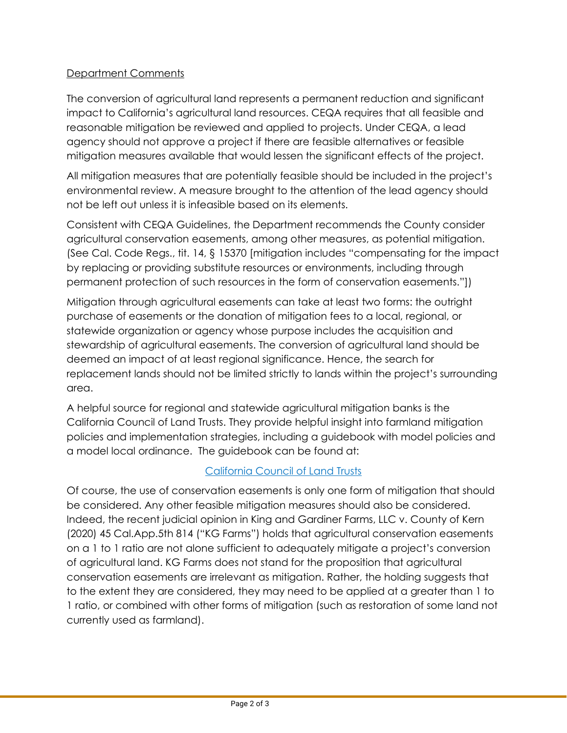## Department Comments

The conversion of agricultural land represents a permanent reduction and significant impact to California's agricultural land resources. CEQA requires that all feasible and reasonable mitigation be reviewed and applied to projects. Under CEQA, a lead agency should not approve a project if there are feasible alternatives or feasible mitigation measures available that would lessen the significant effects of the project.

All mitigation measures that are potentially feasible should be included in the project's environmental review. A measure brought to the attention of the lead agency should not be left out unless it is infeasible based on its elements.

Consistent with CEQA Guidelines, the Department recommends the County consider agricultural conservation easements, among other measures, as potential mitigation. (See Cal. Code Regs., tit. 14, § 15370 [mitigation includes "compensating for the impact by replacing or providing substitute resources or environments, including through permanent protection of such resources in the form of conservation easements."])

Mitigation through agricultural easements can take at least two forms: the outright purchase of easements or the donation of mitigation fees to a local, regional, or statewide organization or agency whose purpose includes the acquisition and stewardship of agricultural easements. The conversion of agricultural land should be deemed an impact of at least regional significance. Hence, the search for replacement lands should not be limited strictly to lands within the project's surrounding area.

A helpful source for regional and statewide agricultural mitigation banks is the California Council of Land Trusts. They provide helpful insight into farmland mitigation policies and implementation strategies, including a guidebook with model policies and a model local ordinance. The guidebook can be found at:

## [California Council of Land Trusts](https://www.calandtrusts.org/resources/conserving-californias-harvest/)

Of course, the use of conservation easements is only one form of mitigation that should be considered. Any other feasible mitigation measures should also be considered. Indeed, the recent judicial opinion in King and Gardiner Farms, LLC v. County of Kern (2020) 45 Cal.App.5th 814 ("KG Farms") holds that agricultural conservation easements on a 1 to 1 ratio are not alone sufficient to adequately mitigate a project's conversion of agricultural land. KG Farms does not stand for the proposition that agricultural conservation easements are irrelevant as mitigation. Rather, the holding suggests that to the extent they are considered, they may need to be applied at a greater than 1 to 1 ratio, or combined with other forms of mitigation (such as restoration of some land not currently used as farmland).